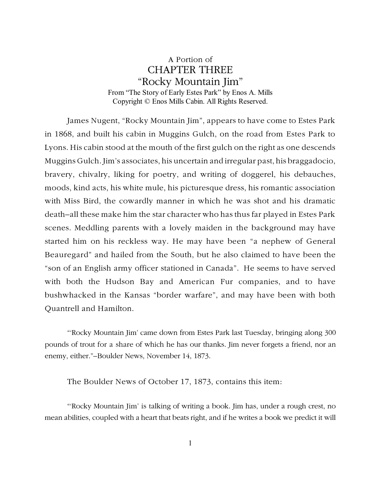## A Portion of CHAPTER THREE "Rocky Mountain Jim" From "The Story of Early Estes Park" by Enos A. Mills Copyright © Enos Mills Cabin. All Rights Reserved.

James Nugent, "Rocky Mountain Jim", appears to have come to Estes Park in 1868, and built his cabin in Muggins Gulch, on the road from Estes Park to Lyons. His cabin stood at the mouth of the first gulch on the right as one descends Muggins Gulch. Jim's associates, his uncertain and irregular past, his braggadocio, bravery, chivalry, liking for poetry, and writing of doggerel, his debauches, moods, kind acts, his white mule, his picturesque dress, his romantic association with Miss Bird, the cowardly manner in which he was shot and his dramatic death–all these make him the star character who has thus far played in Estes Park scenes. Meddling parents with a lovely maiden in the background may have started him on his reckless way. He may have been "a nephew of General Beauregard" and hailed from the South, but he also claimed to have been the "son of an English army officer stationed in Canada". He seems to have served with both the Hudson Bay and American Fur companies, and to have bushwhacked in the Kansas "border warfare", and may have been with both Quantrell and Hamilton.

"'Rocky Mountain Jim' came down from Estes Park last Tuesday, bringing along 300 pounds of trout for a share of which he has our thanks. Jim never forgets a friend, nor an enemy, either."–Boulder News, November 14, 1873.

The Boulder News of October 17, 1873, contains this item:

"'Rocky Mountain Jim' is talking of writing a book. Jim has, under a rough crest, no mean abilities, coupled with a heart that beats right, and if he writes a book we predict it will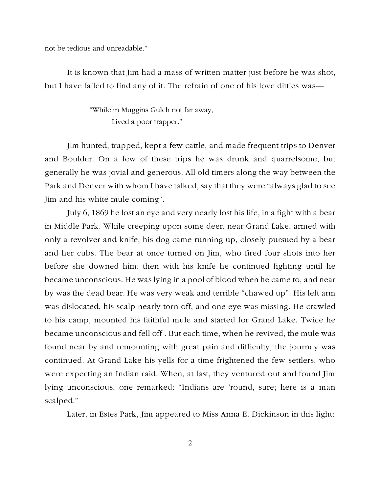not be tedious and unreadable."

It is known that Jim had a mass of written matter just before he was shot, but I have failed to find any of it. The refrain of one of his love ditties was—

> "While in Muggins Gulch not far away, Lived a poor trapper."

Jim hunted, trapped, kept a few cattle, and made frequent trips to Denver and Boulder. On a few of these trips he was drunk and quarrelsome, but generally he was jovial and generous. All old timers along the way between the Park and Denver with whom I have talked, say that they were "always glad to see Jim and his white mule coming".

July 6, 1869 he lost an eye and very nearly lost his life, in a fight with a bear in Middle Park. While creeping upon some deer, near Grand Lake, armed with only a revolver and knife, his dog came running up, closely pursued by a bear and her cubs. The bear at once turned on Jim, who fired four shots into her before she downed him; then with his knife he continued fighting until he became unconscious. He was lying in a pool of blood when he came to, and near by was the dead bear. He was very weak and terrible "chawed up". His left arm was dislocated, his scalp nearly torn off, and one eye was missing. He crawled to his camp, mounted his faithful mule and started for Grand Lake. Twice he became unconscious and fell off . But each time, when he revived, the mule was found near by and remounting with great pain and difficulty, the journey was continued. At Grand Lake his yells for a time frightened the few settlers, who were expecting an Indian raid. When, at last, they ventured out and found Jim lying unconscious, one remarked: "Indians are 'round, sure; here is a man scalped."

Later, in Estes Park, Jim appeared to Miss Anna E. Dickinson in this light: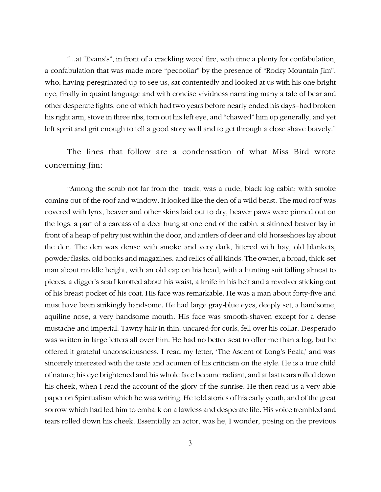"...at "Evans's", in front of a crackling wood fire, with time a plenty for confabulation, a confabulation that was made more "pecooliar" by the presence of "Rocky Mountain Jim", who, having peregrinated up to see us, sat contentedly and looked at us with his one bright eye, finally in quaint language and with concise vividness narrating many a tale of bear and other desperate fights, one of which had two years before nearly ended his days–had broken his right arm, stove in three ribs, torn out his left eye, and "chawed" him up generally, and yet left spirit and grit enough to tell a good story well and to get through a close shave bravely."

The lines that follow are a condensation of what Miss Bird wrote concerning Jim:

"Among the scrub not far from the track, was a rude, black log cabin; with smoke coming out of the roof and window. It looked like the den of a wild beast. The mud roof was covered with lynx, beaver and other skins laid out to dry, beaver paws were pinned out on the logs, a part of a carcass of a deer hung at one end of the cabin, a skinned beaver lay in front of a heap of peltry just within the door, and antlers of deer and old horseshoes lay about the den. The den was dense with smoke and very dark, littered with hay, old blankets, powder flasks, old books and magazines, and relics of all kinds. The owner, a broad, thick-set man about middle height, with an old cap on his head, with a hunting suit falling almost to pieces, a digger's scarf knotted about his waist, a knife in his belt and a revolver sticking out of his breast pocket of his coat. His face was remarkable. He was a man about forty-five and must have been strikingly handsome. He had large gray-blue eyes, deeply set, a handsome, aquiline nose, a very handsome mouth. His face was smooth-shaven except for a dense mustache and imperial. Tawny hair in thin, uncared-for curls, fell over his collar. Desperado was written in large letters all over him. He had no better seat to offer me than a log, but he offered it grateful unconsciousness. I read my letter, 'The Ascent of Long's Peak,' and was sincerely interested with the taste and acumen of his criticism on the style. He is a true child of nature; his eye brightened and his whole face became radiant, and at last tears rolled down his cheek, when I read the account of the glory of the sunrise. He then read us a very able paper on Spiritualism which he was writing. He told stories of his early youth, and of the great sorrow which had led him to embark on a lawless and desperate life. His voice trembled and tears rolled down his cheek. Essentially an actor, was he, I wonder, posing on the previous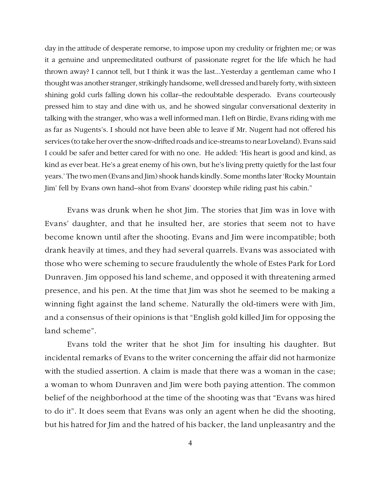day in the attitude of desperate remorse, to impose upon my credulity or frighten me; or was it a genuine and unpremeditated outburst of passionate regret for the life which he had thrown away? I cannot tell, but I think it was the last...Yesterday a gentleman came who I thought was another stranger, strikingly handsome, well dressed and barely forty, with sixteen shining gold curls falling down his collar–the redoubtable desperado. Evans courteously pressed him to stay and dine with us, and he showed singular conversational dexterity in talking with the stranger, who was a well informed man. I left on Birdie, Evans riding with me as far as Nugents's. I should not have been able to leave if Mr. Nugent had not offered his services (to take her over the snow-drifted roads and ice-streams to near Loveland). Evans said I could be safer and better cared for with no one. He added: 'His heart is good and kind, as kind as ever beat. He's a great enemy of his own, but he's living pretty quietly for the last four years.' The two men (Evans and Jim) shook hands kindly. Some months later 'Rocky Mountain Jim' fell by Evans own hand–shot from Evans' doorstep while riding past his cabin."

Evans was drunk when he shot Jim. The stories that Jim was in love with Evans' daughter, and that he insulted her, are stories that seem not to have become known until after the shooting. Evans and Jim were incompatible; both drank heavily at times, and they had several quarrels. Evans was associated with those who were scheming to secure fraudulently the whole of Estes Park for Lord Dunraven. Jim opposed his land scheme, and opposed it with threatening armed presence, and his pen. At the time that Jim was shot he seemed to be making a winning fight against the land scheme. Naturally the old-timers were with Jim, and a consensus of their opinions is that "English gold killed Jim for opposing the land scheme".

Evans told the writer that he shot Jim for insulting his daughter. But incidental remarks of Evans to the writer concerning the affair did not harmonize with the studied assertion. A claim is made that there was a woman in the case; a woman to whom Dunraven and Jim were both paying attention. The common belief of the neighborhood at the time of the shooting was that "Evans was hired to do it". It does seem that Evans was only an agent when he did the shooting, but his hatred for Jim and the hatred of his backer, the land unpleasantry and the